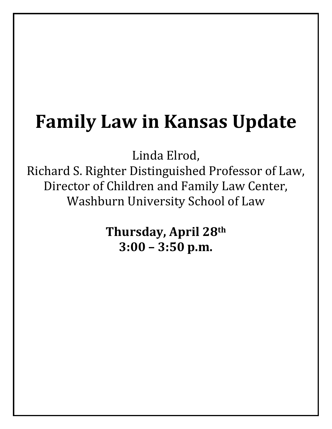# **Family Law in Kansas Update**

Linda Elrod,

Richard S. Righter Distinguished Professor of Law, Director of Children and Family Law Center, Washburn University School of Law

> **Thursday, April 28th 3:00 – 3:50 p.m.**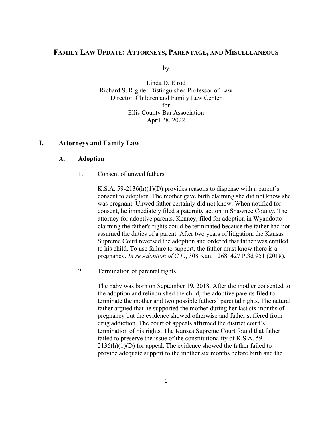## **FAMILY LAW UPDATE: ATTORNEYS, PARENTAGE, AND MISCELLANEOUS**

by

Linda D. Elrod Richard S. Righter Distinguished Professor of Law Director, Children and Family Law Center for Ellis County Bar Association April 28, 2022

## **I. Attorneys and Family Law**

## **A. Adoption**

1. Consent of unwed fathers

K.S.A. 59-2136(h)(1)(D) provides reasons to dispense with a parent's consent to adoption. The mother gave birth claiming she did not know she was pregnant. Unwed father certainly did not know. When notified for consent, he immediately filed a paternity action in Shawnee County. The attorney for adoptive parents, Kenney, filed for adoption in Wyandotte claiming the father's rights could be terminated because the father had not assumed the duties of a parent. After two years of litigation, the Kansas Supreme Court reversed the adoption and ordered that father was entitled to his child. To use failure to support, the father must know there is a pregnancy. *In re Adoption of C.L*., 308 Kan. 1268, 427 P.3d 951 (2018).

2. Termination of parental rights

The baby was born on September 19, 2018. After the mother consented to the adoption and relinquished the child, the adoptive parents filed to terminate the mother and two possible fathers' parental rights. The natural father argued that he supported the mother during her last six months of pregnancy but the evidence showed otherwise and father suffered from drug addiction. The court of appeals affirmed the district court's termination of his rights. The Kansas Supreme Court found that father failed to preserve the issue of the constitutionality of K.S.A. 59- 2136(h)(1)(D) for appeal. The evidence showed the father failed to provide adequate support to the mother six months before birth and the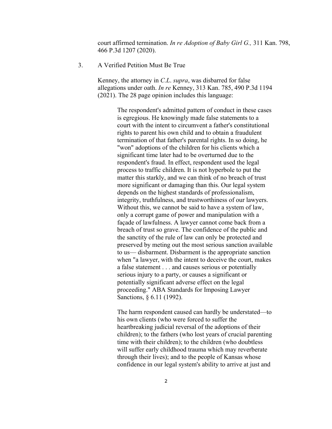court affirmed termination. *In re Adoption of Baby Girl G.,* 311 Kan. 798, 466 P.3d 1207 (2020).

#### 3. A Verified Petition Must Be True

Kenney, the attorney in *C.L*. *supra*, was disbarred for false allegations under oath. *In re* Kenney, 313 Kan. 785, 490 P.3d 1194 (2021). The 28 page opinion includes this language:

> The respondent's admitted pattern of conduct in these cases is egregious. He knowingly made false statements to a court with the intent to circumvent a father's constitutional rights to parent his own child and to obtain a fraudulent termination of that father's parental rights. In so doing, he "won" adoptions of the children for his clients which a significant time later had to be overturned due to the respondent's fraud. In effect, respondent used the legal process to traffic children. It is not hyperbole to put the matter this starkly, and we can think of no breach of trust more significant or damaging than this. Our legal system depends on the highest standards of professionalism, integrity, truthfulness, and trustworthiness of our lawyers. Without this, we cannot be said to have a system of law, only a corrupt game of power and manipulation with a façade of lawfulness. A lawyer cannot come back from a breach of trust so grave. The confidence of the public and the sanctity of the rule of law can only be protected and preserved by meting out the most serious sanction available to us— disbarment. Disbarment is the appropriate sanction when "a lawyer, with the intent to deceive the court, makes a false statement . . . and causes serious or potentially serious injury to a party, or causes a significant or potentially significant adverse effect on the legal proceeding." ABA Standards for Imposing Lawyer Sanctions, § 6.11 (1992).

> The harm respondent caused can hardly be understated—to his own clients (who were forced to suffer the heartbreaking judicial reversal of the adoptions of their children); to the fathers (who lost years of crucial parenting time with their children); to the children (who doubtless will suffer early childhood trauma which may reverberate through their lives); and to the people of Kansas whose confidence in our legal system's ability to arrive at just and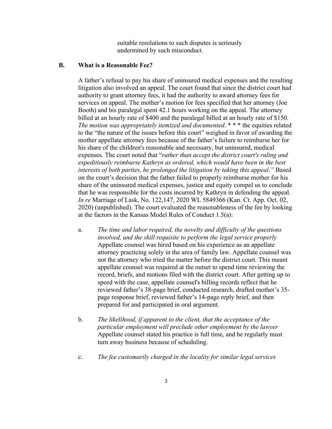suitable resolutions to such disputes is seriously undermined by such misconduct.

## **B. What is a Reasonable Fee?**

A father's refusal to pay his share of uninsured medical expenses and the resulting litigation also involved an appeal. The court found that since the district court had authority to grant attorney fees, it had the authority to award attorney fees for services on appeal. The mother's motion for fees specified that her attorney (Joe Booth) and his paralegal spent 42.1 hours working on the appeal. The attorney billed at an hourly rate of \$400 and the paralegal billed at an hourly rate of \$150. *The motion was appropriately itemized and documented*. \* \* \* the equities related to the "the nature of the issues before this court" weighed in favor of awarding the mother appellate attorney fees because of the father's failure to reimburse her for his share of the children's reasonable and necessary, but uninsured, medical expenses. The court noted that "*rather than accept the district court's ruling and expeditiously reimburse Kathryn as ordered, which would have been in the best interests of both parties, he prolonged the litigation by taking this appeal."* Based on the court's decision that the father failed to properly reimburse mother for his share of the uninsured medical expenses, justice and equity compel us to conclude that he was responsible for the costs incurred by Kathryn in defending the appeal. *In re* Marriage of Lask, No. 122,147, 2020 WL 5849366 (Kan. Ct. App. Oct. 02, 2020) (unpublished). The court evaluated the reasonableness of the fee by looking at the factors in the Kansas Model Rules of Conduct 1.5(a):

- a. *The time and labor required, the novelty and difficulty of the questions involved, and the skill requisite to perform the legal service properly* Appellate counsel was hired based on his experience as an appellate attorney practicing solely in the area of family law. Appellate counsel was not the attorney who tried the matter before the district court. This meant appellate counsel was required at the outset to spend time reviewing the record, briefs, and motions filed with the district court. After getting up to speed with the case, appellate counsel's billing records reflect that he reviewed father's 38-page brief, conducted research, drafted mother's 35 page response brief, reviewed father's 14-page reply brief, and then prepared for and participated in oral argument.
- b. *The likelihood, if apparent to the client, that the acceptance of the particular employment will preclude other employment by the lawyer* Appellate counsel stated his practice is full time, and he regularly must turn away business because of scheduling.
- c. *The fee customarily charged in the locality for similar legal services*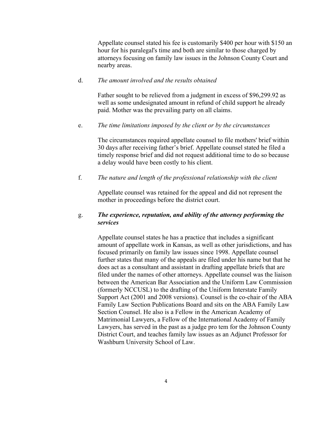Appellate counsel stated his fee is customarily \$400 per hour with \$150 an hour for his paralegal's time and both are similar to those charged by attorneys focusing on family law issues in the Johnson County Court and nearby areas.

## d. *The amount involved and the results obtained*

Father sought to be relieved from a judgment in excess of \$96,299.92 as well as some undesignated amount in refund of child support he already paid. Mother was the prevailing party on all claims.

#### e. *The time limitations imposed by the client or by the circumstances*

The circumstances required appellate counsel to file mothers' brief within 30 days after receiving father's brief. Appellate counsel stated he filed a timely response brief and did not request additional time to do so because a delay would have been costly to his client.

## f. *The nature and length of the professional relationship with the client*

Appellate counsel was retained for the appeal and did not represent the mother in proceedings before the district court.

## g. *The experience, reputation, and ability of the attorney performing the services*

Appellate counsel states he has a practice that includes a significant amount of appellate work in Kansas, as well as other jurisdictions, and has focused primarily on family law issues since 1998. Appellate counsel further states that many of the appeals are filed under his name but that he does act as a consultant and assistant in drafting appellate briefs that are filed under the names of other attorneys. Appellate counsel was the liaison between the American Bar Association and the Uniform Law Commission (formerly NCCUSL) to the drafting of the Uniform Interstate Family Support Act (2001 and 2008 versions). Counsel is the co-chair of the ABA Family Law Section Publications Board and sits on the ABA Family Law Section Counsel. He also is a Fellow in the American Academy of Matrimonial Lawyers, a Fellow of the International Academy of Family Lawyers, has served in the past as a judge pro tem for the Johnson County District Court, and teaches family law issues as an Adjunct Professor for Washburn University School of Law.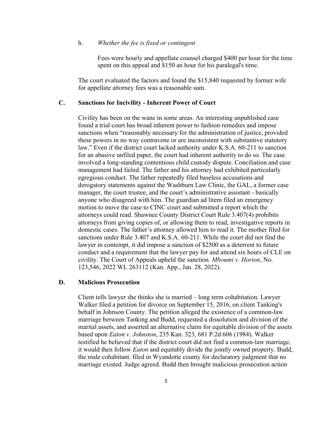#### h. *Whether the fee is fixed or contingent*

Fees were hourly and appellate counsel charged \$400 per hour for the time spent on this appeal and \$150 an hour for his paralegal's time.

The court evaluated the factors and found the \$15,840 requested by former wife for appellate attorney fees was a reasonable sum.

## **C. Sanctions for Incivility - Inherent Power of Court**

Civility has been on the wane in some areas. An interesting unpublished case found a trial court has broad inherent power to fashion remedies and impose sanctions when "reasonably necessary for the administration of justice, provided these powers in no way contravene or are inconsistent with substantive statutory law." Even if the district court lacked authority under K.S.A. 60-211 to sanction for an abusive unfiled paper, the court had inherent authority to do so. The case involved a long-standing contentious child custody dispute. Conciliation and case management had failed. The father and his attorney had exhibited particularly egregious conduct. The father repeatedly filed baseless accusations and derogatory statements against the Washburn Law Clinic, the GAL, a former case manager, the court trustee, and the court's administrative assistant - basically anyone who disagreed with him. The guardian ad litem filed an emergency motion to move the case to CINC court and submitted a report which the attorneys could read. Shawnee County District Court Rule 3.407(4) prohibits attorneys from giving copies of, or allowing them to read, investigative reports in domestic cases. The father's attorney allowed him to read it. The mother filed for sanctions under Rule 3.407 and K.S.A. 60-211. While the court did not find the lawyer in contempt, it did impose a sanction of \$2500 as a deterrent to future conduct and a requirement that the lawyer pay for and attend six hours of CLE on civility. The Court of Appeals upheld the sanction*. Mboumi v. Horton*, No. 123,546, 2022 WL 263112 (Kan. App., Jan. 28, 2022).

### **D. Malicious Prosecution**

Client tells lawyer she thinks she is married – long term cohabitation. Lawyer Walker filed a petition for divorce on September 15, 2016, on client Tanking's behalf in Johnson County. The petition alleged the existence of a common-law marriage between Tanking and Budd, requested a dissolution and division of the marital assets, and asserted an alternative claim for equitable division of the assets based upon *Eaton v. Johnston*, 235 Kan. 323, 681 P.2d 606 (1984). Walker testified he believed that if the district court did not find a common-law marriage, it would then follow *Eaton* and equitably divide the jointly owned property. Budd, the male cohabitant. filed in Wyandotte county for declaratory judgment that no marriage existed. Judge agreed. Budd then brought malicious prosecution action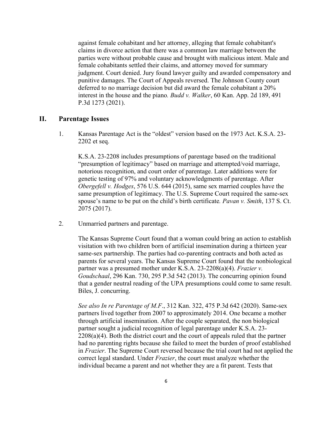against female cohabitant and her attorney, alleging that female cohabitant's claims in divorce action that there was a common law marriage between the parties were without probable cause and brought with malicious intent. Male and female cohabitants settled their claims, and attorney moved for summary judgment. Court denied. Jury found lawyer guilty and awarded compensatory and punitive damages. The Court of Appeals reversed. The Johnson County court deferred to no marriage decision but did award the female cohabitant a 20% interest in the house and the piano*. Budd v. Walker*, 60 Kan. App. 2d 189, 491 P.3d 1273 (2021).

## **II. Parentage Issues**

1. Kansas Parentage Act is the "oldest" version based on the 1973 Act. K.S.A. 23- 2202 et seq.

K.S.A. 23-2208 includes presumptions of parentage based on the traditional "presumption of legitimacy" based on marriage and attempted/void marriage, notorious recognition, and court order of parentage. Later additions were for genetic testing of 97% and voluntary acknowledgments of parentage. After *Obergefell v. Hodges*, 576 U.S. 644 (2015), same sex married couples have the same presumption of legitimacy. The U.S. Supreme Court required the same-sex spouse's name to be put on the child's birth certificate*. Pavan v. Smith*, 137 S. Ct. 2075 (2017).

2. Unmarried partners and parentage.

The Kansas Supreme Court found that a woman could bring an action to establish visitation with two children born of artificial insemination during a thirteen year same-sex partnership. The parties had co-parenting contracts and both acted as parents for several years. The Kansas Supreme Court found that the nonbiological partner was a presumed mother under K.S.A. 23-2208(a)(4). *Frazier v. Goudschaal*, 296 Kan. 730, 295 P.3d 542 (2013). The concurring opinion found that a gender neutral reading of the UPA presumptions could come to same result. Biles, J. concurring.

*See also In re Parentage of M.F*., 312 Kan. 322, 475 P.3d 642 (2020). Same-sex partners lived together from 2007 to approximately 2014. One became a mother through artificial insemination. After the couple separated, the non biological partner sought a judicial recognition of legal parentage under K.S.A. 23-  $2208(a)(4)$ . Both the district court and the court of appeals ruled that the partner had no parenting rights because she failed to meet the burden of proof established in *Frazier*. The Supreme Court reversed because the trial court had not applied the correct legal standard. Under *Frazier*, the court must analyze whether the individual became a parent and not whether they are a fit parent. Tests that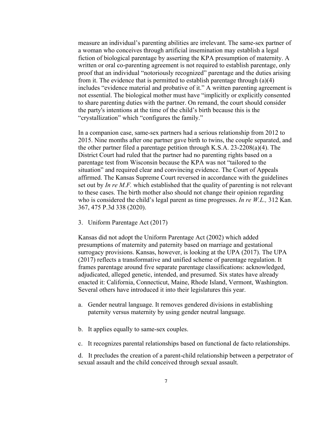measure an individual's parenting abilities are irrelevant. The same-sex partner of a woman who conceives through artificial insemination may establish a legal fiction of biological parentage by asserting the KPA presumption of maternity. A written or oral co-parenting agreement is not required to establish parentage, only proof that an individual "notoriously recognized" parentage and the duties arising from it. The evidence that is permitted to establish parentage through (a)(4) includes "evidence material and probative of it." A written parenting agreement is not essential. The biological mother must have "implicitly or explicitly consented to share parenting duties with the partner. On remand, the court should consider the party's intentions at the time of the child's birth because this is the "crystallization" which "configures the family."

In a companion case, same-sex partners had a serious relationship from 2012 to 2015. Nine months after one partner gave birth to twins, the couple separated, and the other partner filed a parentage petition through K.S.A. 23-2208(a)(4). The District Court had ruled that the partner had no parenting rights based on a parentage test from Wisconsin because the KPA was not "tailored to the situation" and required clear and convincing evidence. The Court of Appeals affirmed. The Kansas Supreme Court reversed in accordance with the guidelines set out by *In re M.F.* which established that the quality of parenting is not relevant to these cases. The birth mother also should not change their opinion regarding who is considered the child's legal parent as time progresses. *In re W.L.,* 312 Kan. 367, 475 P.3d 338 (2020).

3. Uniform Parentage Act (2017)

Kansas did not adopt the Uniform Parentage Act (2002) which added presumptions of maternity and paternity based on marriage and gestational surrogacy provisions. Kansas, however, is looking at the UPA (2017). The UPA (2017) reflects a transformative and unified scheme of parentage regulation. It frames parentage around five separate parentage classifications: acknowledged, adjudicated, alleged genetic, intended, and presumed. Six states have already enacted it: California, Connecticut, Maine, Rhode Island, Vermont, Washington. Several others have introduced it into their legislatures this year.

- a. Gender neutral language. It removes gendered divisions in establishing paternity versus maternity by using gender neutral language.
- b. It applies equally to same-sex couples.
- c. It recognizes parental relationships based on functional de facto relationships.

d. It precludes the creation of a parent-child relationship between a perpetrator of sexual assault and the child conceived through sexual assault.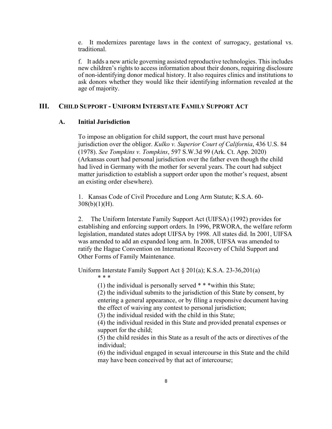e. It modernizes parentage laws in the context of surrogacy, gestational vs. traditional.

f. It adds a new article governing assisted reproductive technologies. This includes new children's rights to access information about their donors, requiring disclosure of non-identifying donor medical history. It also requires clinics and institutions to ask donors whether they would like their identifying information revealed at the age of majority.

## **III. CHILD SUPPORT - UNIFORM INTERSTATE FAMILY SUPPORT ACT**

### **A. Initial Jurisdiction**

To impose an obligation for child support, the court must have personal jurisdiction over the obligor. *Kulko v. Superior Court of California*, 436 U.S. 84 (1978). *See Tompkins v. Tompkins*, 597 S.W.3d 99 (Ark. Ct. App. 2020) (Arkansas court had personal jurisdiction over the father even though the child had lived in Germany with the mother for several years. The court had subject matter jurisdiction to establish a support order upon the mother's request, absent an existing order elsewhere).

1. Kansas Code of Civil Procedure and Long Arm Statute; K.S.A. 60-  $308(b)(1)(H)$ .

2. The Uniform Interstate Family Support Act (UIFSA) (1992) provides for establishing and enforcing support orders. In 1996, PRWORA, the welfare reform legislation, mandated states adopt UIFSA by 1998. All states did. In 2001, UIFSA was amended to add an expanded long arm. In 2008, UIFSA was amended to ratify the Hague Convention on International Recovery of Child Support and Other Forms of Family Maintenance.

Uniform Interstate Family Support Act § 201(a); K.S.A. 23-36,201(a) \* \* \*

(1) the individual is personally served  $***$  within this State;

(2) the individual submits to the jurisdiction of this State by consent, by entering a general appearance, or by filing a responsive document having the effect of waiving any contest to personal jurisdiction;

(3) the individual resided with the child in this State;

(4) the individual resided in this State and provided prenatal expenses or support for the child;

(5) the child resides in this State as a result of the acts or directives of the individual;

(6) the individual engaged in sexual intercourse in this State and the child may have been conceived by that act of intercourse;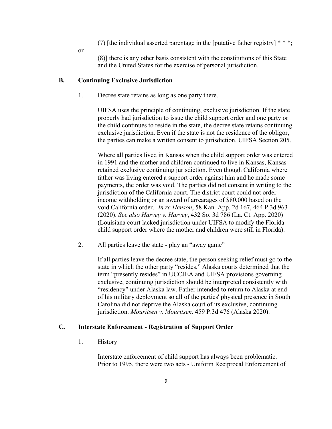- (7) [the individual asserted parentage in the [putative father registry]  $**$ ;
- or

(8)] there is any other basis consistent with the constitutions of this State and the United States for the exercise of personal jurisdiction.

#### **B. Continuing Exclusive Jurisdiction**

1. Decree state retains as long as one party there.

UIFSA uses the principle of continuing, exclusive jurisdiction. If the state properly had jurisdiction to issue the child support order and one party or the child continues to reside in the state, the decree state retains continuing exclusive jurisdiction. Even if the state is not the residence of the obligor, the parties can make a written consent to jurisdiction. UIFSA Section 205.

Where all parties lived in Kansas when the child support order was entered in 1991 and the mother and children continued to live in Kansas, Kansas retained exclusive continuing jurisdiction. Even though California where father was living entered a support order against him and he made some payments, the order was void. The parties did not consent in writing to the jurisdiction of the California court. The district court could not order income withholding or an award of arrearages of \$80,000 based on the void California order. *In re Henson*, 58 Kan. App. 2d 167, 464 P.3d 963 (2020). *See also Harvey v. Harvey*, 432 So. 3d 786 (La. Ct. App. 2020) (Louisiana court lacked jurisdiction under UIFSA to modify the Florida child support order where the mother and children were still in Florida).

2. All parties leave the state - play an "away game"

If all parties leave the decree state, the person seeking relief must go to the state in which the other party "resides." Alaska courts determined that the term "presently resides" in UCCJEA and UIFSA provisions governing exclusive, continuing jurisdiction should be interpreted consistently with "residency" under Alaska law. Father intended to return to Alaska at end of his military deployment so all of the parties' physical presence in South Carolina did not deprive the Alaska court of its exclusive, continuing jurisdiction. *Mouritsen v. Mouritsen,* 459 P.3d 476 (Alaska 2020).

#### **C. Interstate Enforcement - Registration of Support Order**

1. History

Interstate enforcement of child support has always been problematic. Prior to 1995, there were two acts - Uniform Reciprocal Enforcement of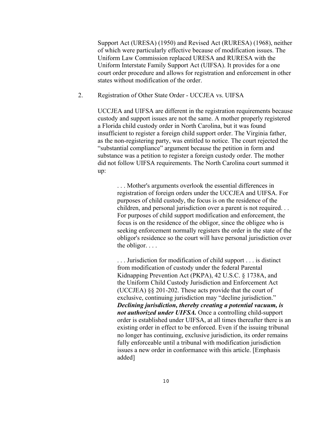Support Act (URESA) (1950) and Revised Act (RURESA) (1968), neither of which were particularly effective because of modification issues. The Uniform Law Commission replaced URESA and RURESA with the Uniform Interstate Family Support Act (UIFSA). It provides for a one court order procedure and allows for registration and enforcement in other states without modification of the order.

2. Registration of Other State Order - UCCJEA vs. UIFSA

UCCJEA and UIFSA are different in the registration requirements because custody and support issues are not the same. A mother properly registered a Florida child custody order in North Carolina, but it was found insufficient to register a foreign child support order. The Virginia father, as the non-registering party, was entitled to notice. The court rejected the "substantial compliance" argument because the petition in form and substance was a petition to register a foreign custody order. The mother did not follow UIFSA requirements. The North Carolina court summed it up:

. . . Mother's arguments overlook the essential differences in registration of foreign orders under the UCCJEA and UIFSA. For purposes of child custody, the focus is on the residence of the children, and personal jurisdiction over a parent is not required. . . For purposes of child support modification and enforcement, the focus is on the residence of the obligor, since the obligee who is seeking enforcement normally registers the order in the state of the obligor's residence so the court will have personal jurisdiction over the obligor. . . .

. . . Jurisdiction for modification of child support . . . is distinct from modification of custody under the federal Parental Kidnapping Prevention Act (PKPA), 42 U.S.C. § 1738A, and the Uniform Child Custody Jurisdiction and Enforcement Act (UCCJEA) §§ 201-202. These acts provide that the court of exclusive, continuing jurisdiction may "decline jurisdiction." *Declining jurisdiction, thereby creating a potential vacuum, is not authorized under UIFSA.* Once a controlling child-support order is established under UIFSA, at all times thereafter there is an existing order in effect to be enforced. Even if the issuing tribunal no longer has continuing, exclusive jurisdiction, its order remains fully enforceable until a tribunal with modification jurisdiction issues a new order in conformance with this article. [Emphasis added]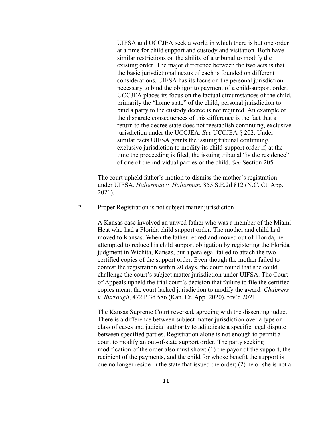UIFSA and UCCJEA seek a world in which there is but one order at a time for child support and custody and visitation. Both have similar restrictions on the ability of a tribunal to modify the existing order. The major difference between the two acts is that the basic jurisdictional nexus of each is founded on different considerations. UIFSA has its focus on the personal jurisdiction necessary to bind the obligor to payment of a child-support order. UCCJEA places its focus on the factual circumstances of the child, primarily the "home state" of the child; personal jurisdiction to bind a party to the custody decree is not required. An example of the disparate consequences of this difference is the fact that a return to the decree state does not reestablish continuing, exclusive jurisdiction under the UCCJEA. *See* UCCJEA § 202. Under similar facts UIFSA grants the issuing tribunal continuing, exclusive jurisdiction to modify its child-support order if, at the time the proceeding is filed, the issuing tribunal "is the residence" of one of the individual parties or the child. *See* Section 205.

The court upheld father's motion to dismiss the mother's registration under UIFSA. *Halterman v. Halterman*, 855 S.E.2d 812 (N.C. Ct. App. 2021).

2. Proper Registration is not subject matter jurisdiction

A Kansas case involved an unwed father who was a member of the Miami Heat who had a Florida child support order. The mother and child had moved to Kansas. When the father retired and moved out of Florida, he attempted to reduce his child support obligation by registering the Florida judgment in Wichita, Kansas, but a paralegal failed to attach the two certified copies of the support order. Even though the mother failed to contest the registration within 20 days, the court found that she could challenge the court's subject matter jurisdiction under UIFSA. The Court of Appeals upheld the trial court's decision that failure to file the certified copies meant the court lacked jurisdiction to modify the award*. Chalmers v. Burrough*, 472 P.3d 586 (Kan. Ct. App. 2020), rev'd 2021.

The Kansas Supreme Court reversed, agreeing with the dissenting judge. There is a difference between subject matter jurisdiction over a type or class of cases and judicial authority to adjudicate a specific legal dispute between specified parties. Registration alone is not enough to permit a court to modify an out-of-state support order. The party seeking modification of the order also must show: (1) the payor of the support, the recipient of the payments, and the child for whose benefit the support is due no longer reside in the state that issued the order; (2) he or she is not a